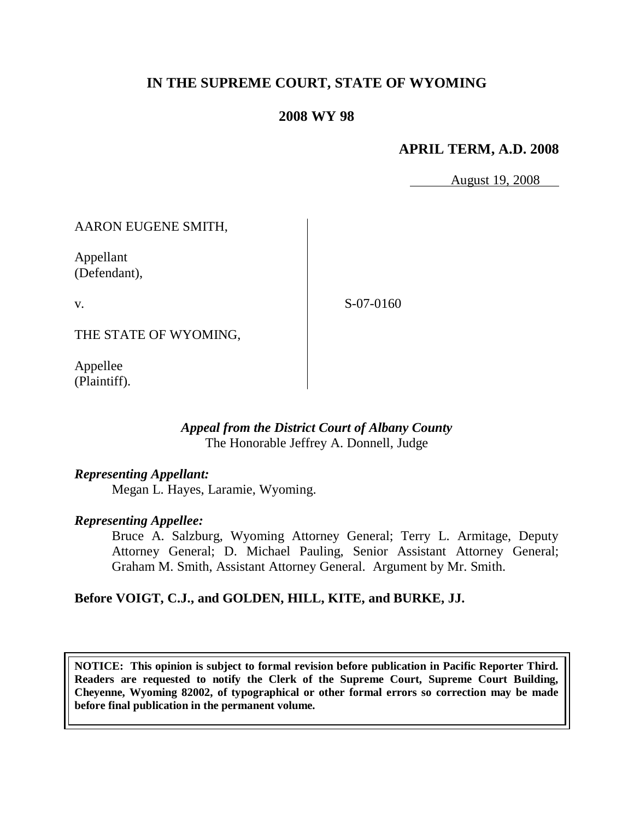# **IN THE SUPREME COURT, STATE OF WYOMING**

### **2008 WY 98**

### **APRIL TERM, A.D. 2008**

August 19, 2008

### AARON EUGENE SMITH,

Appellant (Defendant),

v.

S-07-0160

THE STATE OF WYOMING,

Appellee (Plaintiff).

#### *Appeal from the District Court of Albany County* The Honorable Jeffrey A. Donnell, Judge

### *Representing Appellant:*

Megan L. Hayes, Laramie, Wyoming.

#### *Representing Appellee:*

Bruce A. Salzburg, Wyoming Attorney General; Terry L. Armitage, Deputy Attorney General; D. Michael Pauling, Senior Assistant Attorney General; Graham M. Smith, Assistant Attorney General. Argument by Mr. Smith.

### **Before VOIGT, C.J., and GOLDEN, HILL, KITE, and BURKE, JJ.**

**NOTICE: This opinion is subject to formal revision before publication in Pacific Reporter Third. Readers are requested to notify the Clerk of the Supreme Court, Supreme Court Building, Cheyenne, Wyoming 82002, of typographical or other formal errors so correction may be made before final publication in the permanent volume.**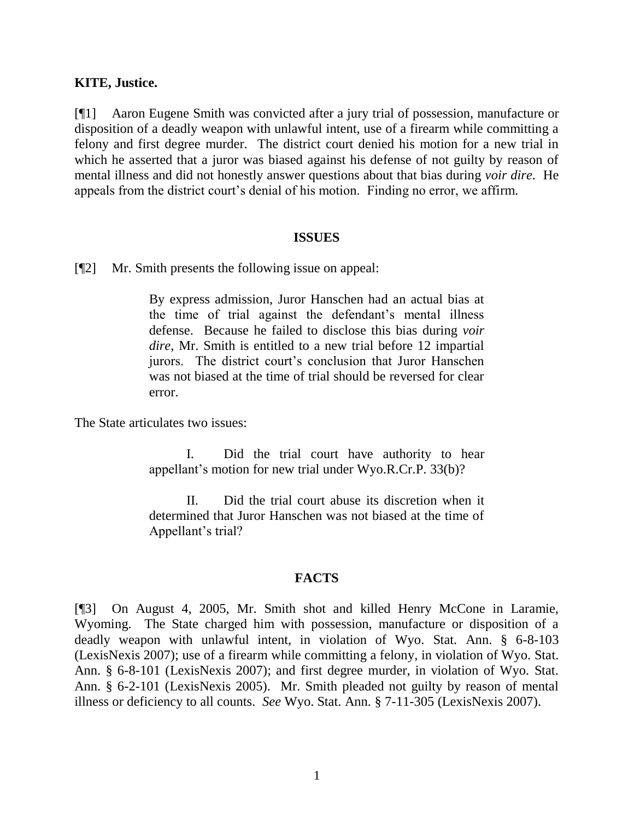#### **KITE, Justice.**

[¶1] Aaron Eugene Smith was convicted after a jury trial of possession, manufacture or disposition of a deadly weapon with unlawful intent, use of a firearm while committing a felony and first degree murder. The district court denied his motion for a new trial in which he asserted that a juror was biased against his defense of not guilty by reason of mental illness and did not honestly answer questions about that bias during *voir dire*. He appeals from the district court's denial of his motion. Finding no error, we affirm.

#### **ISSUES**

[¶2] Mr. Smith presents the following issue on appeal:

By express admission, Juror Hanschen had an actual bias at the time of trial against the defendant's mental illness defense. Because he failed to disclose this bias during *voir dire,* Mr. Smith is entitled to a new trial before 12 impartial jurors. The district court's conclusion that Juror Hanschen was not biased at the time of trial should be reversed for clear error.

The State articulates two issues:

I. Did the trial court have authority to hear appellant's motion for new trial under Wyo.R.Cr.P. 33(b)?

II. Did the trial court abuse its discretion when it determined that Juror Hanschen was not biased at the time of Appellant's trial?

#### **FACTS**

[¶3] On August 4, 2005, Mr. Smith shot and killed Henry McCone in Laramie, Wyoming. The State charged him with possession, manufacture or disposition of a deadly weapon with unlawful intent, in violation of Wyo. Stat. Ann. § 6-8-103 (LexisNexis 2007); use of a firearm while committing a felony, in violation of Wyo. Stat. Ann. § 6-8-101 (LexisNexis 2007); and first degree murder, in violation of Wyo. Stat. Ann. § 6-2-101 (LexisNexis 2005). Mr. Smith pleaded not guilty by reason of mental illness or deficiency to all counts. *See* Wyo. Stat. Ann. § 7-11-305 (LexisNexis 2007).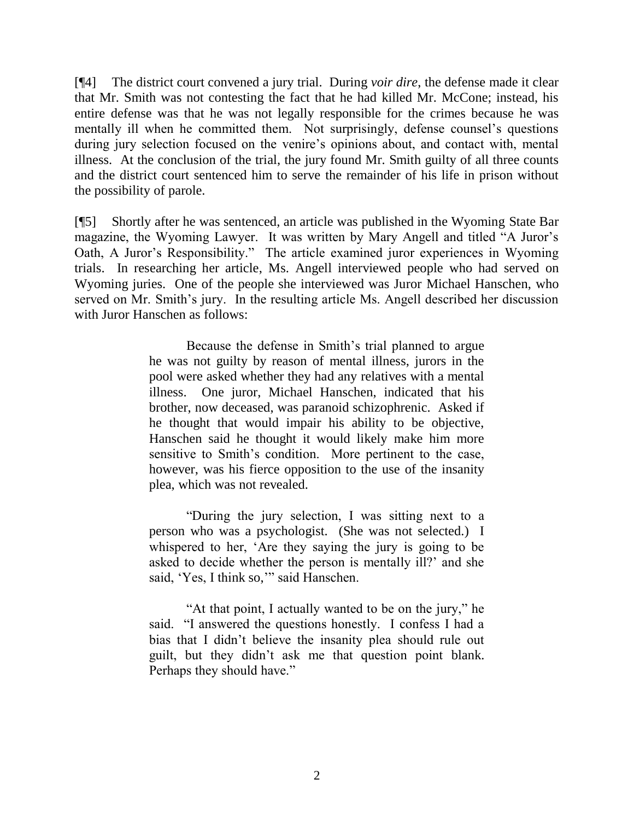[¶4] The district court convened a jury trial. During *voir dire*, the defense made it clear that Mr. Smith was not contesting the fact that he had killed Mr. McCone; instead, his entire defense was that he was not legally responsible for the crimes because he was mentally ill when he committed them. Not surprisingly, defense counsel's questions during jury selection focused on the venire's opinions about, and contact with, mental illness. At the conclusion of the trial, the jury found Mr. Smith guilty of all three counts and the district court sentenced him to serve the remainder of his life in prison without the possibility of parole.

[¶5] Shortly after he was sentenced, an article was published in the Wyoming State Bar magazine, the Wyoming Lawyer. It was written by Mary Angell and titled "A Juror's Oath, A Juror's Responsibility." The article examined juror experiences in Wyoming trials. In researching her article, Ms. Angell interviewed people who had served on Wyoming juries. One of the people she interviewed was Juror Michael Hanschen, who served on Mr. Smith's jury. In the resulting article Ms. Angell described her discussion with Juror Hanschen as follows:

> Because the defense in Smith"s trial planned to argue he was not guilty by reason of mental illness, jurors in the pool were asked whether they had any relatives with a mental illness. One juror, Michael Hanschen, indicated that his brother, now deceased, was paranoid schizophrenic. Asked if he thought that would impair his ability to be objective, Hanschen said he thought it would likely make him more sensitive to Smith's condition. More pertinent to the case, however, was his fierce opposition to the use of the insanity plea, which was not revealed.

> "During the jury selection, I was sitting next to a person who was a psychologist. (She was not selected.) I whispered to her, "Are they saying the jury is going to be asked to decide whether the person is mentally ill?" and she said, 'Yes, I think so,'" said Hanschen.

> "At that point, I actually wanted to be on the jury," he said. "I answered the questions honestly. I confess I had a bias that I didn"t believe the insanity plea should rule out guilt, but they didn"t ask me that question point blank. Perhaps they should have."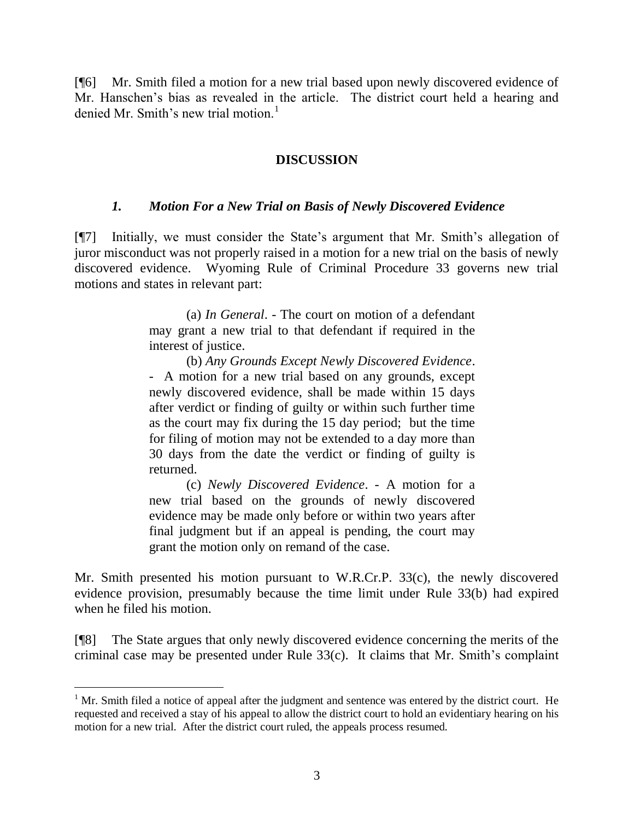[¶6] Mr. Smith filed a motion for a new trial based upon newly discovered evidence of Mr. Hanschen"s bias as revealed in the article. The district court held a hearing and denied Mr. Smith's new trial motion.<sup>1</sup>

### **DISCUSSION**

### *1. Motion For a New Trial on Basis of Newly Discovered Evidence*

[¶7] Initially, we must consider the State's argument that Mr. Smith's allegation of juror misconduct was not properly raised in a motion for a new trial on the basis of newly discovered evidence. Wyoming Rule of Criminal Procedure 33 governs new trial motions and states in relevant part:

> (a) *In General*. - The court on motion of a defendant may grant a new trial to that defendant if required in the interest of justice.

> (b) *Any Grounds Except Newly Discovered Evidence*. - A motion for a new trial based on any grounds, except newly discovered evidence, shall be made within 15 days after verdict or finding of guilty or within such further time as the court may fix during the 15 day period; but the time for filing of motion may not be extended to a day more than 30 days from the date the verdict or finding of guilty is returned.

> (c) *Newly Discovered Evidence*. - A motion for a new trial based on the grounds of newly discovered evidence may be made only before or within two years after final judgment but if an appeal is pending, the court may grant the motion only on remand of the case.

Mr. Smith presented his motion pursuant to W.R.Cr.P. 33(c), the newly discovered evidence provision, presumably because the time limit under Rule 33(b) had expired when he filed his motion.

[¶8] The State argues that only newly discovered evidence concerning the merits of the criminal case may be presented under Rule  $33(c)$ . It claims that Mr. Smith's complaint

 $\overline{a}$ 

 $1$  Mr. Smith filed a notice of appeal after the judgment and sentence was entered by the district court. He requested and received a stay of his appeal to allow the district court to hold an evidentiary hearing on his motion for a new trial. After the district court ruled, the appeals process resumed.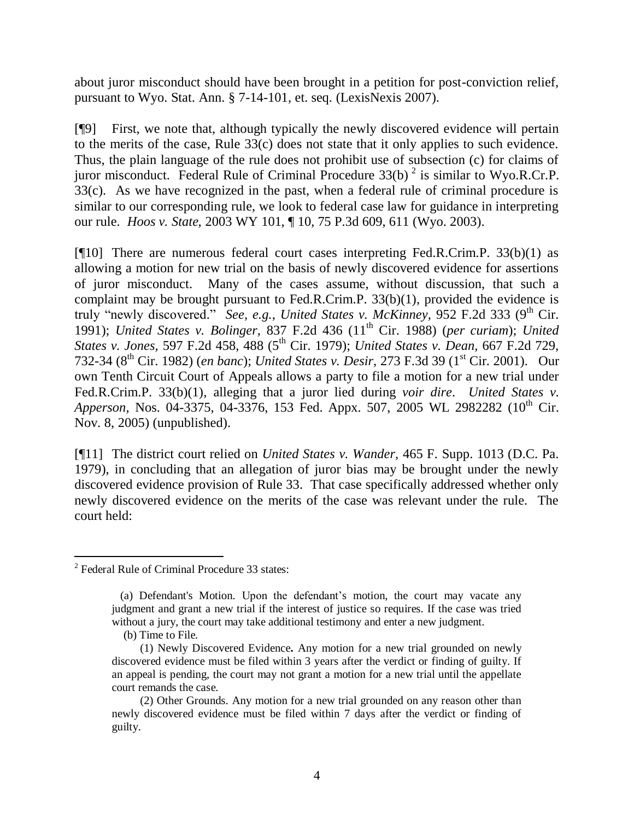about juror misconduct should have been brought in a petition for post-conviction relief, pursuant to Wyo. Stat. Ann. § 7-14-101, et. seq. (LexisNexis 2007).

[¶9] First, we note that, although typically the newly discovered evidence will pertain to the merits of the case, Rule 33(c) does not state that it only applies to such evidence. Thus, the plain language of the rule does not prohibit use of subsection (c) for claims of juror misconduct. Federal Rule of Criminal Procedure  $33(b)^2$  is similar to Wyo.R.Cr.P.  $33(c)$ . As we have recognized in the past, when a federal rule of criminal procedure is similar to our corresponding rule, we look to federal case law for guidance in interpreting our rule. *Hoos v. State,* 2003 WY 101, ¶ 10, 75 P.3d 609, 611 (Wyo. 2003).

[¶10] There are numerous federal court cases interpreting Fed.R.Crim.P. 33(b)(1) as allowing a motion for new trial on the basis of newly discovered evidence for assertions of juror misconduct. Many of the cases assume, without discussion, that such a complaint may be brought pursuant to Fed.R.Crim.P. 33(b)(1), provided the evidence is truly "newly discovered." *See, e.g., United States v. McKinney*, 952 F.2d 333 (9<sup>th</sup> Cir. 1991); *United States v. Bolinger,* 837 F.2d 436 (11th Cir. 1988) (*per curiam*); *United States v. Jones,* 597 F.2d 458, 488 (5th Cir. 1979); *United States v. Dean,* 667 F.2d 729, 732-34 (8<sup>th</sup> Cir. 1982) (*en banc*); *United States v. Desir*, 273 F.3d 39 (1<sup>st</sup> Cir. 2001). Our own Tenth Circuit Court of Appeals allows a party to file a motion for a new trial under Fed.R.Crim.P. 33(b)(1), alleging that a juror lied during *voir dire*. *United States v. Apperson, Nos. 04-3375, 04-3376, 153 Fed. Appx. 507, 2005 WL 2982282 (10<sup>th</sup> Cir.* Nov. 8, 2005) (unpublished).

[¶11] The district court relied on *United States v. Wander,* 465 F. Supp. 1013 (D.C. Pa. 1979), in concluding that an allegation of juror bias may be brought under the newly discovered evidence provision of Rule 33. That case specifically addressed whether only newly discovered evidence on the merits of the case was relevant under the rule. The court held:

 $\overline{a}$ 

<sup>&</sup>lt;sup>2</sup> Federal Rule of Criminal Procedure 33 states:

(a) Defendant's Motion. Upon the defendant"s motion, the court may vacate any judgment and grant a new trial if the interest of justice so requires. If the case was tried without a jury, the court may take additional testimony and enter a new judgment.

(b) Time to File.

 <sup>(1)</sup> Newly Discovered Evidence**.** Any motion for a new trial grounded on newly discovered evidence must be filed within 3 years after the verdict or finding of guilty. If an appeal is pending, the court may not grant a motion for a new trial until the appellate court remands the case.

(2) Other Grounds. Any motion for a new trial grounded on any reason other than newly discovered evidence must be filed within 7 days after the verdict or finding of guilty.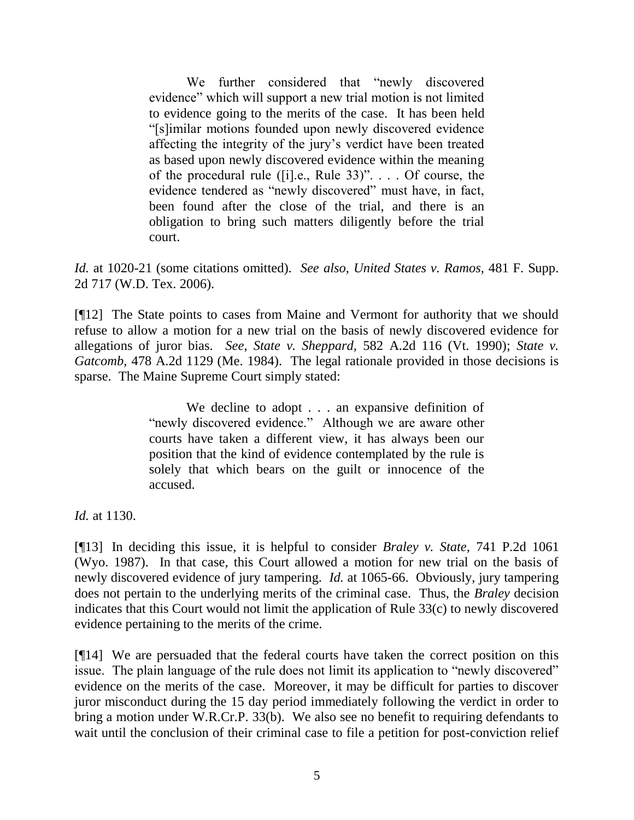We further considered that "newly discovered evidence" which will support a new trial motion is not limited to evidence going to the merits of the case. It has been held "[s]imilar motions founded upon newly discovered evidence affecting the integrity of the jury"s verdict have been treated as based upon newly discovered evidence within the meaning of the procedural rule ([i].e., Rule 33)". . . . Of course, the evidence tendered as "newly discovered" must have, in fact, been found after the close of the trial, and there is an obligation to bring such matters diligently before the trial court.

*Id.* at 1020-21 (some citations omitted). *See also*, *United States v. Ramos,* 481 F. Supp. 2d 717 (W.D. Tex. 2006).

[¶12] The State points to cases from Maine and Vermont for authority that we should refuse to allow a motion for a new trial on the basis of newly discovered evidence for allegations of juror bias. *See*, *State v. Sheppard,* 582 A.2d 116 (Vt. 1990); *State v. Gatcomb,* 478 A.2d 1129 (Me. 1984). The legal rationale provided in those decisions is sparse. The Maine Supreme Court simply stated:

> We decline to adopt . . . an expansive definition of "newly discovered evidence." Although we are aware other courts have taken a different view, it has always been our position that the kind of evidence contemplated by the rule is solely that which bears on the guilt or innocence of the accused.

*Id.* at 1130.

[¶13] In deciding this issue, it is helpful to consider *Braley v. State,* 741 P.2d 1061 (Wyo. 1987). In that case, this Court allowed a motion for new trial on the basis of newly discovered evidence of jury tampering. *Id.* at 1065-66. Obviously, jury tampering does not pertain to the underlying merits of the criminal case. Thus, the *Braley* decision indicates that this Court would not limit the application of Rule 33(c) to newly discovered evidence pertaining to the merits of the crime.

[¶14] We are persuaded that the federal courts have taken the correct position on this issue. The plain language of the rule does not limit its application to "newly discovered" evidence on the merits of the case. Moreover, it may be difficult for parties to discover juror misconduct during the 15 day period immediately following the verdict in order to bring a motion under W.R.Cr.P. 33(b). We also see no benefit to requiring defendants to wait until the conclusion of their criminal case to file a petition for post-conviction relief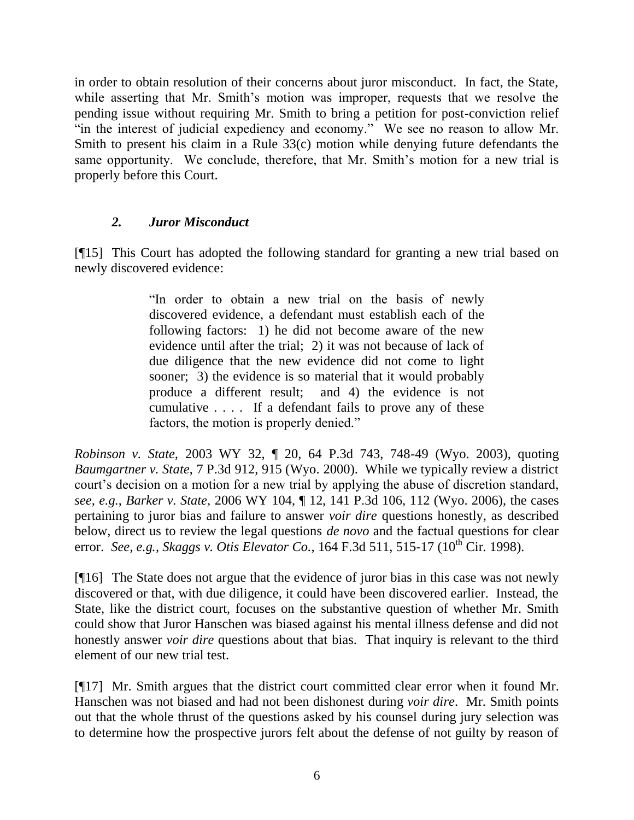in order to obtain resolution of their concerns about juror misconduct. In fact, the State, while asserting that Mr. Smith's motion was improper, requests that we resolve the pending issue without requiring Mr. Smith to bring a petition for post-conviction relief "in the interest of judicial expediency and economy." We see no reason to allow Mr. Smith to present his claim in a Rule 33(c) motion while denying future defendants the same opportunity. We conclude, therefore, that Mr. Smith's motion for a new trial is properly before this Court.

## *2. Juror Misconduct*

[¶15] This Court has adopted the following standard for granting a new trial based on newly discovered evidence:

> "In order to obtain a new trial on the basis of newly discovered evidence, a defendant must establish each of the following factors: 1) he did not become aware of the new evidence until after the trial; 2) it was not because of lack of due diligence that the new evidence did not come to light sooner; 3) the evidence is so material that it would probably produce a different result; and 4) the evidence is not cumulative . . . . If a defendant fails to prove any of these factors, the motion is properly denied."

*Robinson v. State,* 2003 WY 32, ¶ 20, 64 P.3d 743, 748-49 (Wyo. 2003), quoting *Baumgartner v. State*, 7 P.3d 912, 915 (Wyo. 2000). While we typically review a district court's decision on a motion for a new trial by applying the abuse of discretion standard, *see, e.g.*, *Barker v. State,* 2006 WY 104, ¶ 12, 141 P.3d 106, 112 (Wyo. 2006), the cases pertaining to juror bias and failure to answer *voir dire* questions honestly, as described below, direct us to review the legal questions *de novo* and the factual questions for clear error. *See, e.g., Skaggs v. Otis Elevator Co.,* 164 F.3d 511, 515-17 (10<sup>th</sup> Cir. 1998).

[¶16] The State does not argue that the evidence of juror bias in this case was not newly discovered or that, with due diligence, it could have been discovered earlier. Instead, the State, like the district court, focuses on the substantive question of whether Mr. Smith could show that Juror Hanschen was biased against his mental illness defense and did not honestly answer *voir dire* questions about that bias. That inquiry is relevant to the third element of our new trial test.

[¶17] Mr. Smith argues that the district court committed clear error when it found Mr. Hanschen was not biased and had not been dishonest during *voir dire*. Mr. Smith points out that the whole thrust of the questions asked by his counsel during jury selection was to determine how the prospective jurors felt about the defense of not guilty by reason of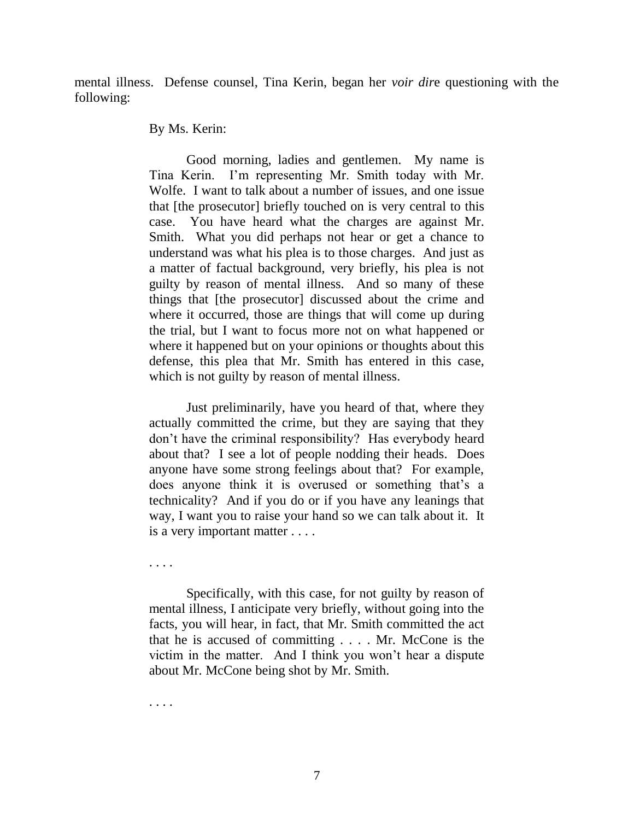mental illness. Defense counsel, Tina Kerin, began her *voir dir*e questioning with the following:

#### By Ms. Kerin:

Good morning, ladies and gentlemen. My name is Tina Kerin. I"m representing Mr. Smith today with Mr. Wolfe. I want to talk about a number of issues, and one issue that [the prosecutor] briefly touched on is very central to this case. You have heard what the charges are against Mr. Smith. What you did perhaps not hear or get a chance to understand was what his plea is to those charges. And just as a matter of factual background, very briefly, his plea is not guilty by reason of mental illness. And so many of these things that [the prosecutor] discussed about the crime and where it occurred, those are things that will come up during the trial, but I want to focus more not on what happened or where it happened but on your opinions or thoughts about this defense, this plea that Mr. Smith has entered in this case, which is not guilty by reason of mental illness.

Just preliminarily, have you heard of that, where they actually committed the crime, but they are saying that they don"t have the criminal responsibility? Has everybody heard about that? I see a lot of people nodding their heads. Does anyone have some strong feelings about that? For example, does anyone think it is overused or something that's a technicality? And if you do or if you have any leanings that way, I want you to raise your hand so we can talk about it. It is a very important matter . . . .

. . . .

Specifically, with this case, for not guilty by reason of mental illness, I anticipate very briefly, without going into the facts, you will hear, in fact, that Mr. Smith committed the act that he is accused of committing . . . . Mr. McCone is the victim in the matter. And I think you won"t hear a dispute about Mr. McCone being shot by Mr. Smith.

. . . .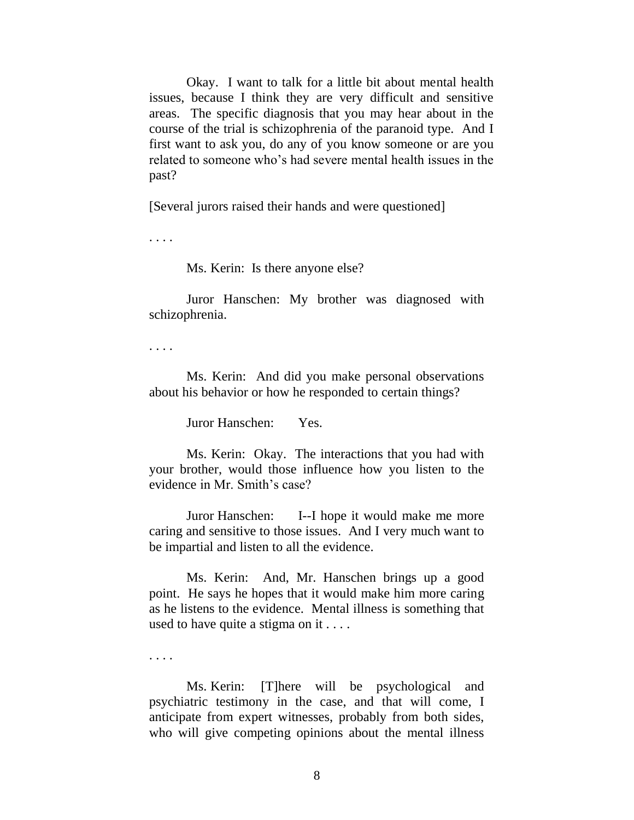Okay. I want to talk for a little bit about mental health issues, because I think they are very difficult and sensitive areas. The specific diagnosis that you may hear about in the course of the trial is schizophrenia of the paranoid type. And I first want to ask you, do any of you know someone or are you related to someone who"s had severe mental health issues in the past?

[Several jurors raised their hands and were questioned]

. . . .

Ms. Kerin: Is there anyone else?

Juror Hanschen: My brother was diagnosed with schizophrenia.

. . . .

Ms. Kerin: And did you make personal observations about his behavior or how he responded to certain things?

Juror Hanschen: Yes.

Ms. Kerin: Okay. The interactions that you had with your brother, would those influence how you listen to the evidence in Mr. Smith's case?

Juror Hanschen: I--I hope it would make me more caring and sensitive to those issues. And I very much want to be impartial and listen to all the evidence.

Ms. Kerin: And, Mr. Hanschen brings up a good point. He says he hopes that it would make him more caring as he listens to the evidence. Mental illness is something that used to have quite a stigma on it . . . .

. . . .

Ms. Kerin: [T]here will be psychological and psychiatric testimony in the case, and that will come, I anticipate from expert witnesses, probably from both sides, who will give competing opinions about the mental illness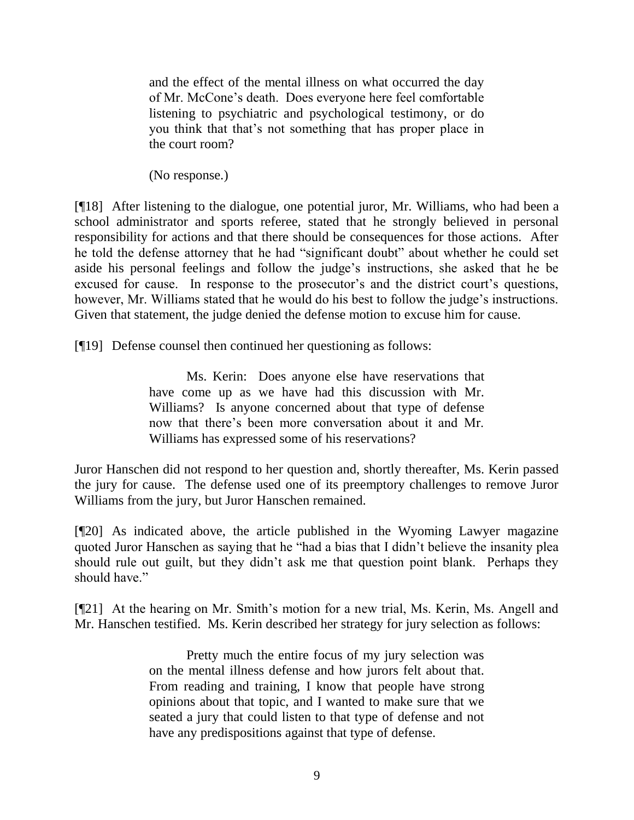and the effect of the mental illness on what occurred the day of Mr. McCone"s death. Does everyone here feel comfortable listening to psychiatric and psychological testimony, or do you think that that"s not something that has proper place in the court room?

(No response.)

[¶18] After listening to the dialogue, one potential juror, Mr. Williams, who had been a school administrator and sports referee, stated that he strongly believed in personal responsibility for actions and that there should be consequences for those actions. After he told the defense attorney that he had "significant doubt" about whether he could set aside his personal feelings and follow the judge"s instructions, she asked that he be excused for cause. In response to the prosecutor's and the district court's questions, however, Mr. Williams stated that he would do his best to follow the judge"s instructions. Given that statement, the judge denied the defense motion to excuse him for cause.

[¶19] Defense counsel then continued her questioning as follows:

Ms. Kerin: Does anyone else have reservations that have come up as we have had this discussion with Mr. Williams? Is anyone concerned about that type of defense now that there"s been more conversation about it and Mr. Williams has expressed some of his reservations?

Juror Hanschen did not respond to her question and, shortly thereafter, Ms. Kerin passed the jury for cause. The defense used one of its preemptory challenges to remove Juror Williams from the jury, but Juror Hanschen remained.

[¶20] As indicated above, the article published in the Wyoming Lawyer magazine quoted Juror Hanschen as saying that he "had a bias that I didn"t believe the insanity plea should rule out guilt, but they didn"t ask me that question point blank. Perhaps they should have."

[¶21] At the hearing on Mr. Smith"s motion for a new trial, Ms. Kerin, Ms. Angell and Mr. Hanschen testified. Ms. Kerin described her strategy for jury selection as follows:

> Pretty much the entire focus of my jury selection was on the mental illness defense and how jurors felt about that. From reading and training, I know that people have strong opinions about that topic, and I wanted to make sure that we seated a jury that could listen to that type of defense and not have any predispositions against that type of defense.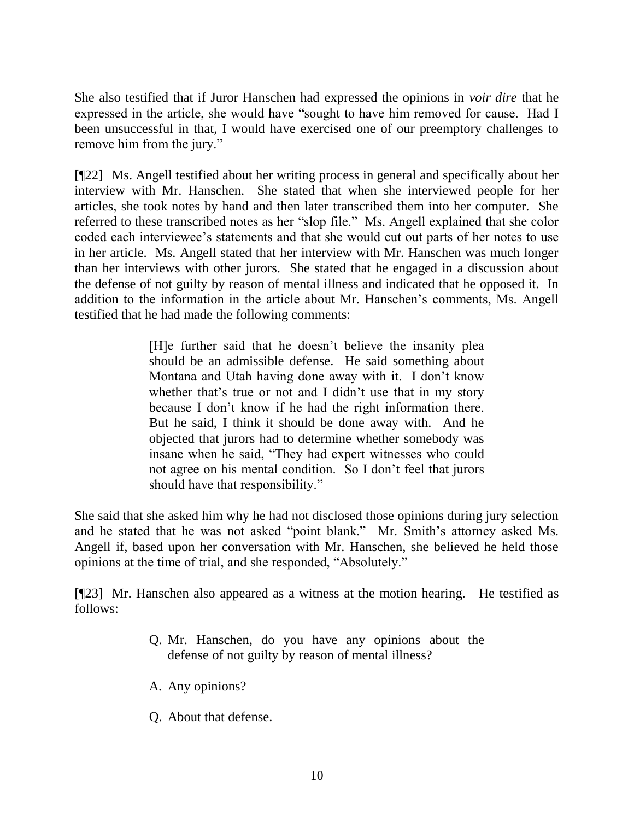She also testified that if Juror Hanschen had expressed the opinions in *voir dire* that he expressed in the article, she would have "sought to have him removed for cause. Had I been unsuccessful in that, I would have exercised one of our preemptory challenges to remove him from the jury."

[¶22] Ms. Angell testified about her writing process in general and specifically about her interview with Mr. Hanschen. She stated that when she interviewed people for her articles, she took notes by hand and then later transcribed them into her computer. She referred to these transcribed notes as her "slop file." Ms. Angell explained that she color coded each interviewee"s statements and that she would cut out parts of her notes to use in her article. Ms. Angell stated that her interview with Mr. Hanschen was much longer than her interviews with other jurors. She stated that he engaged in a discussion about the defense of not guilty by reason of mental illness and indicated that he opposed it. In addition to the information in the article about Mr. Hanschen"s comments, Ms. Angell testified that he had made the following comments:

> [H]e further said that he doesn"t believe the insanity plea should be an admissible defense. He said something about Montana and Utah having done away with it. I don't know whether that's true or not and I didn't use that in my story because I don"t know if he had the right information there. But he said, I think it should be done away with. And he objected that jurors had to determine whether somebody was insane when he said, "They had expert witnesses who could not agree on his mental condition. So I don"t feel that jurors should have that responsibility."

She said that she asked him why he had not disclosed those opinions during jury selection and he stated that he was not asked "point blank." Mr. Smith"s attorney asked Ms. Angell if, based upon her conversation with Mr. Hanschen, she believed he held those opinions at the time of trial, and she responded, "Absolutely."

[¶23] Mr. Hanschen also appeared as a witness at the motion hearing. He testified as follows:

- Q. Mr. Hanschen, do you have any opinions about the defense of not guilty by reason of mental illness?
- A. Any opinions?
- Q. About that defense.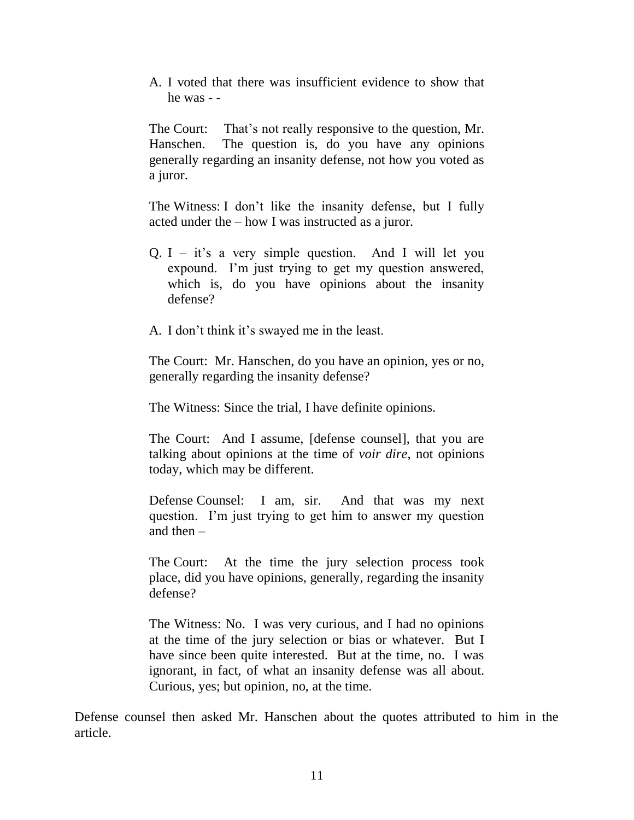A. I voted that there was insufficient evidence to show that he was - -

The Court: That's not really responsive to the question, Mr. Hanschen. The question is, do you have any opinions generally regarding an insanity defense, not how you voted as a juror.

The Witness: I don"t like the insanity defense, but I fully acted under the – how I was instructed as a juror.

- Q. I it's a very simple question. And I will let you expound. I'm just trying to get my question answered, which is, do you have opinions about the insanity defense?
- A. I don't think it's swayed me in the least.

The Court: Mr. Hanschen, do you have an opinion, yes or no, generally regarding the insanity defense?

The Witness: Since the trial, I have definite opinions.

The Court: And I assume, [defense counsel], that you are talking about opinions at the time of *voir dire*, not opinions today, which may be different.

Defense Counsel: I am, sir. And that was my next question. I'm just trying to get him to answer my question and then –

The Court: At the time the jury selection process took place, did you have opinions, generally, regarding the insanity defense?

The Witness: No. I was very curious, and I had no opinions at the time of the jury selection or bias or whatever. But I have since been quite interested. But at the time, no. I was ignorant, in fact, of what an insanity defense was all about. Curious, yes; but opinion, no, at the time.

Defense counsel then asked Mr. Hanschen about the quotes attributed to him in the article.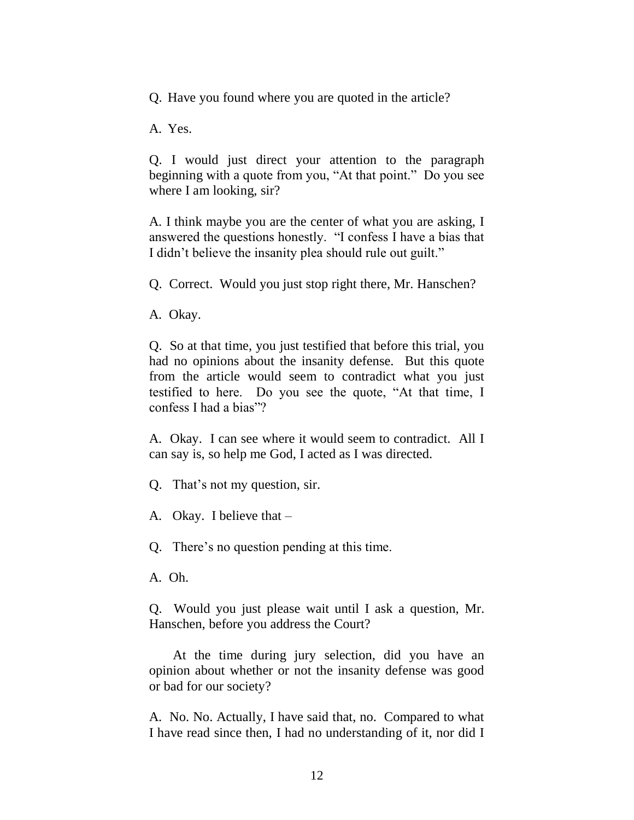Q. Have you found where you are quoted in the article?

A. Yes.

Q. I would just direct your attention to the paragraph beginning with a quote from you, "At that point." Do you see where I am looking, sir?

A. I think maybe you are the center of what you are asking, I answered the questions honestly. "I confess I have a bias that I didn"t believe the insanity plea should rule out guilt."

Q. Correct. Would you just stop right there, Mr. Hanschen?

A. Okay.

Q. So at that time, you just testified that before this trial, you had no opinions about the insanity defense. But this quote from the article would seem to contradict what you just testified to here. Do you see the quote, "At that time, I confess I had a bias"?

A. Okay. I can see where it would seem to contradict. All I can say is, so help me God, I acted as I was directed.

Q. That"s not my question, sir.

A. Okay. I believe that –

Q. There"s no question pending at this time.

A. Oh.

Q. Would you just please wait until I ask a question, Mr. Hanschen, before you address the Court?

 At the time during jury selection, did you have an opinion about whether or not the insanity defense was good or bad for our society?

A. No. No. Actually, I have said that, no. Compared to what I have read since then, I had no understanding of it, nor did I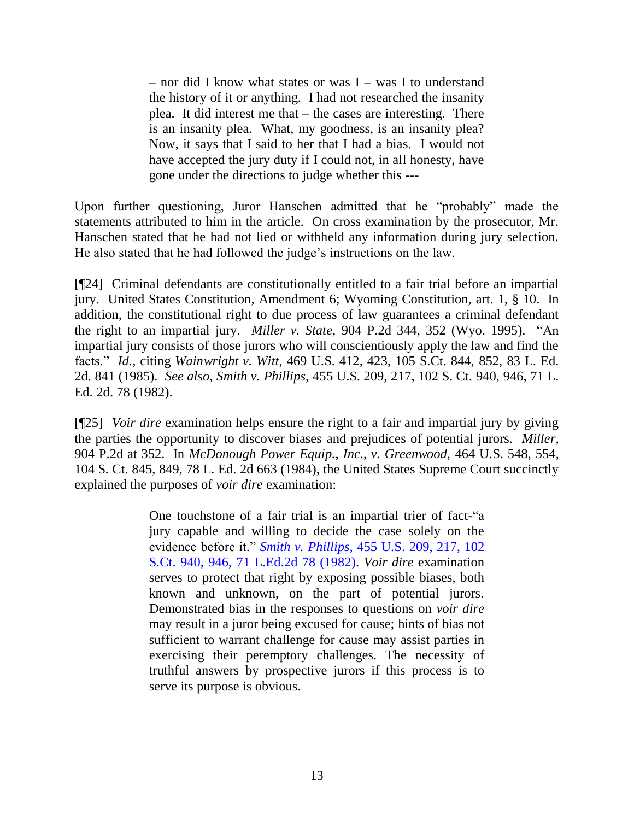– nor did I know what states or was I – was I to understand the history of it or anything. I had not researched the insanity plea. It did interest me that – the cases are interesting. There is an insanity plea. What, my goodness, is an insanity plea? Now, it says that I said to her that I had a bias. I would not have accepted the jury duty if I could not, in all honesty, have gone under the directions to judge whether this ---

Upon further questioning, Juror Hanschen admitted that he "probably" made the statements attributed to him in the article. On cross examination by the prosecutor, Mr. Hanschen stated that he had not lied or withheld any information during jury selection. He also stated that he had followed the judge"s instructions on the law.

[¶24] Criminal defendants are constitutionally entitled to a fair trial before an impartial jury. United States Constitution, Amendment 6; Wyoming Constitution, art. 1, § 10. In addition, the constitutional right to due process of law guarantees a criminal defendant the right to an impartial jury. *Miller v. State,* 904 P.2d 344, 352 (Wyo. 1995)*.* "An impartial jury consists of those jurors who will conscientiously apply the law and find the facts." *Id.,* citing *Wainwright v. Witt*, 469 U.S. 412, 423, 105 S.Ct. 844, 852, 83 L. Ed. 2d. 841 (1985). *See also*, *Smith v. Phillips,* 455 U.S. 209, 217, 102 S. Ct. 940, 946, 71 L. Ed. 2d. 78 (1982).

[¶25] *Voir dire* examination helps ensure the right to a fair and impartial jury by giving the parties the opportunity to discover biases and prejudices of potential jurors. *Miller,*  904 P.2d at 352. In *McDonough Power Equip., Inc., v. Greenwood,* 464 U.S. 548, 554, 104 S. Ct. 845, 849, 78 L. Ed. 2d 663 (1984), the United States Supreme Court succinctly explained the purposes of *voir dire* examination:

> One touchstone of a fair trial is an impartial trier of fact-"a jury capable and willing to decide the case solely on the evidence before it." *[Smith v. Phillips,](http://www.westlaw.com/Find/Default.wl?rs=dfa1.0&vr=2.0&DB=708&FindType=Y&ReferencePositionType=S&SerialNum=1982103628&ReferencePosition=946)* [455 U.S. 209, 217, 102](http://www.westlaw.com/Find/Default.wl?rs=dfa1.0&vr=2.0&DB=708&FindType=Y&ReferencePositionType=S&SerialNum=1982103628&ReferencePosition=946)  S.Ct. 940, 946, 71 L.Ed.2d 78 (1982). *Voir dire* examination serves to protect that right by exposing possible biases, both known and unknown, on the part of potential jurors. Demonstrated bias in the responses to questions on *voir dire* may result in a juror being excused for cause; hints of bias not sufficient to warrant challenge for cause may assist parties in exercising their peremptory challenges. The necessity of truthful answers by prospective jurors if this process is to serve its purpose is obvious.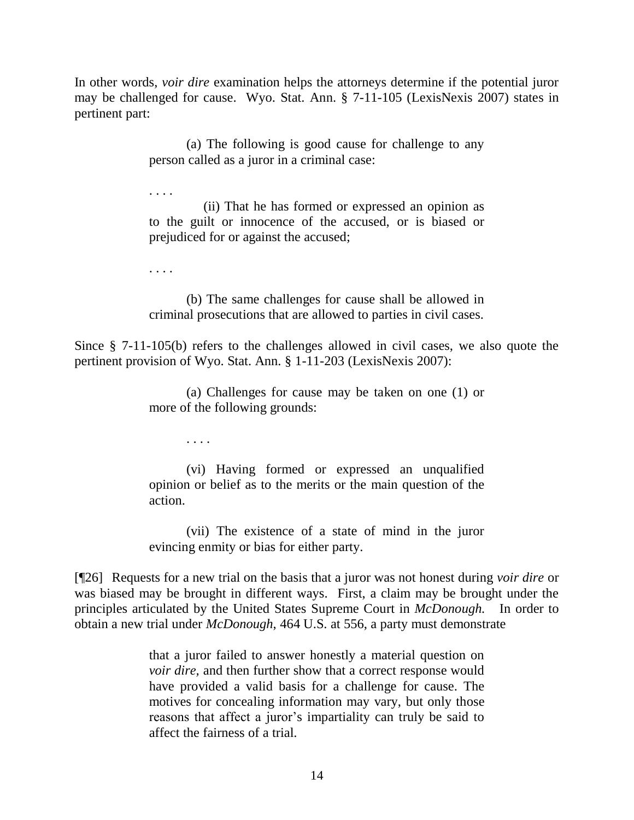In other words, *voir dire* examination helps the attorneys determine if the potential juror may be challenged for cause. Wyo. Stat. Ann. § 7-11-105 (LexisNexis 2007) states in pertinent part:

> (a) The following is good cause for challenge to any person called as a juror in a criminal case:

. . . .

 (ii) That he has formed or expressed an opinion as to the guilt or innocence of the accused, or is biased or prejudiced for or against the accused;

. . . .

. . . .

(b) The same challenges for cause shall be allowed in criminal prosecutions that are allowed to parties in civil cases.

Since § 7-11-105(b) refers to the challenges allowed in civil cases, we also quote the pertinent provision of Wyo. Stat. Ann. § 1-11-203 (LexisNexis 2007):

> (a) Challenges for cause may be taken on one (1) or more of the following grounds:

> (vi) Having formed or expressed an unqualified opinion or belief as to the merits or the main question of the action.

> (vii) The existence of a state of mind in the juror evincing enmity or bias for either party.

[¶26] Requests for a new trial on the basis that a juror was not honest during *voir dire* or was biased may be brought in different ways. First, a claim may be brought under the principles articulated by the United States Supreme Court in *McDonough.* In order to obtain a new trial under *McDonough*, 464 U.S. at 556, a party must demonstrate

> that a juror failed to answer honestly a material question on *voir dire,* and then further show that a correct response would have provided a valid basis for a challenge for cause. The motives for concealing information may vary, but only those reasons that affect a juror's impartiality can truly be said to affect the fairness of a trial.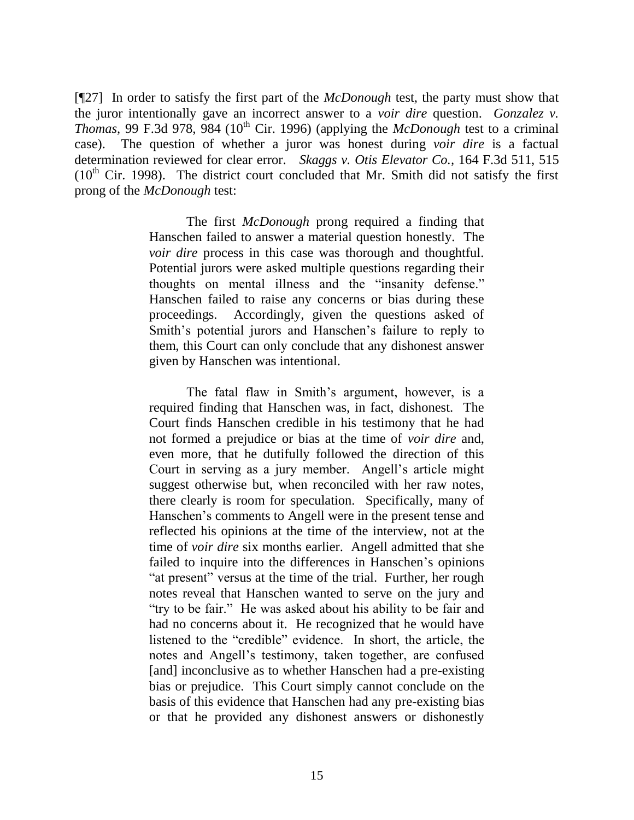[¶27] In order to satisfy the first part of the *McDonough* test, the party must show that the juror intentionally gave an incorrect answer to a *voir dire* question. *Gonzalez v. Thomas,* 99 F.3d 978, 984 (10<sup>th</sup> Cir. 1996) (applying the *McDonough* test to a criminal case). The question of whether a juror was honest during *voir dire* is a factual determination reviewed for clear error. *Skaggs v. Otis Elevator Co.,* 164 F.3d 511, 515  $(10<sup>th</sup>$  Cir. 1998). The district court concluded that Mr. Smith did not satisfy the first prong of the *McDonough* test:

> The first *McDonough* prong required a finding that Hanschen failed to answer a material question honestly. The *voir dire* process in this case was thorough and thoughtful. Potential jurors were asked multiple questions regarding their thoughts on mental illness and the "insanity defense." Hanschen failed to raise any concerns or bias during these proceedings. Accordingly, given the questions asked of Smith's potential jurors and Hanschen's failure to reply to them, this Court can only conclude that any dishonest answer given by Hanschen was intentional.

> The fatal flaw in Smith's argument, however, is a required finding that Hanschen was, in fact, dishonest. The Court finds Hanschen credible in his testimony that he had not formed a prejudice or bias at the time of *voir dire* and, even more, that he dutifully followed the direction of this Court in serving as a jury member. Angell"s article might suggest otherwise but, when reconciled with her raw notes, there clearly is room for speculation. Specifically, many of Hanschen"s comments to Angell were in the present tense and reflected his opinions at the time of the interview, not at the time of *voir dire* six months earlier. Angell admitted that she failed to inquire into the differences in Hanschen's opinions "at present" versus at the time of the trial. Further, her rough notes reveal that Hanschen wanted to serve on the jury and "try to be fair." He was asked about his ability to be fair and had no concerns about it. He recognized that he would have listened to the "credible" evidence. In short, the article, the notes and Angell"s testimony, taken together, are confused [and] inconclusive as to whether Hanschen had a pre-existing bias or prejudice. This Court simply cannot conclude on the basis of this evidence that Hanschen had any pre-existing bias or that he provided any dishonest answers or dishonestly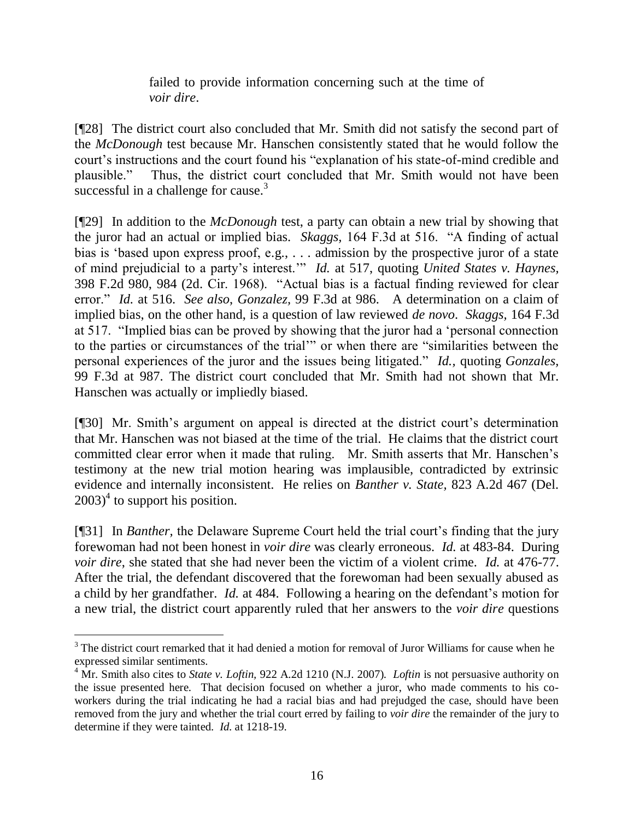failed to provide information concerning such at the time of *voir dire*.

[¶28] The district court also concluded that Mr. Smith did not satisfy the second part of the *McDonough* test because Mr. Hanschen consistently stated that he would follow the court"s instructions and the court found his "explanation of his state-of-mind credible and plausible." Thus, the district court concluded that Mr. Smith would not have been successful in a challenge for cause.<sup>3</sup>

[¶29] In addition to the *McDonough* test, a party can obtain a new trial by showing that the juror had an actual or implied bias. *Skaggs,* 164 F.3d at 516. "A finding of actual bias is "based upon express proof, e.g., . . . admission by the prospective juror of a state of mind prejudicial to a party"s interest."" *Id.* at 517, quoting *United States v. Haynes,*  398 F.2d 980, 984 (2d. Cir. 1968). "Actual bias is a factual finding reviewed for clear error." *Id.* at 516. *See also*, *Gonzalez,* 99 F.3d at 986. A determination on a claim of implied bias, on the other hand, is a question of law reviewed *de novo*. *Skaggs,* 164 F.3d at 517. "Implied bias can be proved by showing that the juror had a "personal connection to the parties or circumstances of the trial"" or when there are "similarities between the personal experiences of the juror and the issues being litigated." *Id.,* quoting *Gonzales,*  99 F.3d at 987. The district court concluded that Mr. Smith had not shown that Mr. Hanschen was actually or impliedly biased.

[¶30] Mr. Smith's argument on appeal is directed at the district court's determination that Mr. Hanschen was not biased at the time of the trial. He claims that the district court committed clear error when it made that ruling. Mr. Smith asserts that Mr. Hanschen"s testimony at the new trial motion hearing was implausible, contradicted by extrinsic evidence and internally inconsistent. He relies on *Banther v. State,* 823 A.2d 467 (Del.  $2003$ <sup>4</sup> to support his position.

[¶31] In *Banther,* the Delaware Supreme Court held the trial court"s finding that the jury forewoman had not been honest in *voir dire* was clearly erroneous. *Id.* at 483-84. During *voir dire*, she stated that she had never been the victim of a violent crime. *Id.* at 476-77. After the trial, the defendant discovered that the forewoman had been sexually abused as a child by her grandfather. *Id.* at 484. Following a hearing on the defendant's motion for a new trial, the district court apparently ruled that her answers to the *voir dire* questions

 $\overline{a}$ 

<sup>&</sup>lt;sup>3</sup> The district court remarked that it had denied a motion for removal of Juror Williams for cause when he expressed similar sentiments.

<sup>&</sup>lt;sup>4</sup> Mr. Smith also cites to *State v. Loftin*, 922 A.2d 1210 (N.J. 2007). *Loftin* is not persuasive authority on the issue presented here. That decision focused on whether a juror, who made comments to his coworkers during the trial indicating he had a racial bias and had prejudged the case, should have been removed from the jury and whether the trial court erred by failing to *voir dire* the remainder of the jury to determine if they were tainted. *Id.* at 1218-19.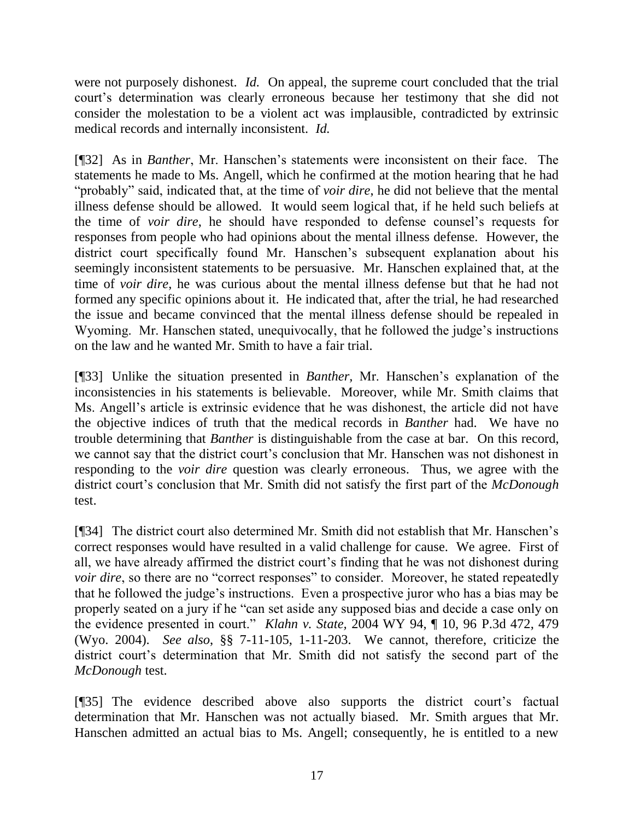were not purposely dishonest. *Id.* On appeal, the supreme court concluded that the trial court's determination was clearly erroneous because her testimony that she did not consider the molestation to be a violent act was implausible, contradicted by extrinsic medical records and internally inconsistent. *Id.* 

[¶32] As in *Banther*, Mr. Hanschen"s statements were inconsistent on their face. The statements he made to Ms. Angell, which he confirmed at the motion hearing that he had "probably" said, indicated that, at the time of *voir dire*, he did not believe that the mental illness defense should be allowed. It would seem logical that, if he held such beliefs at the time of *voir dire*, he should have responded to defense counsel"s requests for responses from people who had opinions about the mental illness defense. However, the district court specifically found Mr. Hanschen's subsequent explanation about his seemingly inconsistent statements to be persuasive. Mr. Hanschen explained that, at the time of *voir dire*, he was curious about the mental illness defense but that he had not formed any specific opinions about it. He indicated that, after the trial, he had researched the issue and became convinced that the mental illness defense should be repealed in Wyoming. Mr. Hanschen stated, unequivocally, that he followed the judge's instructions on the law and he wanted Mr. Smith to have a fair trial.

[¶33] Unlike the situation presented in *Banther,* Mr. Hanschen"s explanation of the inconsistencies in his statements is believable. Moreover, while Mr. Smith claims that Ms. Angell"s article is extrinsic evidence that he was dishonest, the article did not have the objective indices of truth that the medical records in *Banther* had. We have no trouble determining that *Banther* is distinguishable from the case at bar.On this record, we cannot say that the district court's conclusion that Mr. Hanschen was not dishonest in responding to the *voir dire* question was clearly erroneous. Thus, we agree with the district court's conclusion that Mr. Smith did not satisfy the first part of the *McDonough* test.

[¶34] The district court also determined Mr. Smith did not establish that Mr. Hanschen"s correct responses would have resulted in a valid challenge for cause. We agree. First of all, we have already affirmed the district court's finding that he was not dishonest during *voir dire*, so there are no "correct responses" to consider. Moreover, he stated repeatedly that he followed the judge"s instructions. Even a prospective juror who has a bias may be properly seated on a jury if he "can set aside any supposed bias and decide a case only on the evidence presented in court." *Klahn v. State,* 2004 WY 94, ¶ 10, 96 P.3d 472, 479 (Wyo. 2004). *See also*, §§ 7-11-105, 1-11-203. We cannot, therefore, criticize the district court's determination that Mr. Smith did not satisfy the second part of the *McDonough* test.

[¶35] The evidence described above also supports the district court's factual determination that Mr. Hanschen was not actually biased. Mr. Smith argues that Mr. Hanschen admitted an actual bias to Ms. Angell; consequently, he is entitled to a new